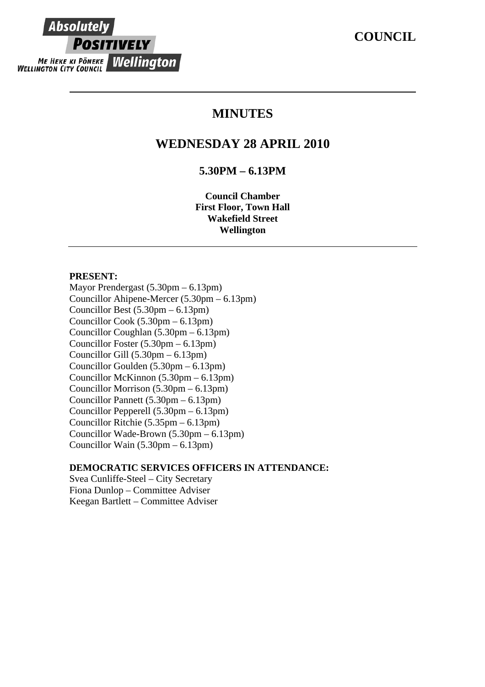# **MINUTES**

## **WEDNESDAY 28 APRIL 2010**

## **5.30PM – 6.13PM**

**Council Chamber First Floor, Town Hall Wakefield Street Wellington** 

#### **PRESENT:**

**Absolutely** 

**POSITIVELY** 

**ME HEKE KI PÖNEKE Wellington** 

Mayor Prendergast (5.30pm – 6.13pm) Councillor Ahipene-Mercer (5.30pm – 6.13pm) Councillor Best (5.30pm – 6.13pm) Councillor Cook (5.30pm – 6.13pm) Councillor Coughlan (5.30pm – 6.13pm) Councillor Foster (5.30pm – 6.13pm) Councillor Gill (5.30pm – 6.13pm) Councillor Goulden (5.30pm – 6.13pm) Councillor McKinnon (5.30pm – 6.13pm) Councillor Morrison (5.30pm – 6.13pm) Councillor Pannett (5.30pm – 6.13pm) Councillor Pepperell (5.30pm – 6.13pm) Councillor Ritchie (5.35pm – 6.13pm) Councillor Wade-Brown (5.30pm – 6.13pm) Councillor Wain (5.30pm – 6.13pm)

## **DEMOCRATIC SERVICES OFFICERS IN ATTENDANCE:**

Svea Cunliffe-Steel – City Secretary Fiona Dunlop – Committee Adviser Keegan Bartlett – Committee Adviser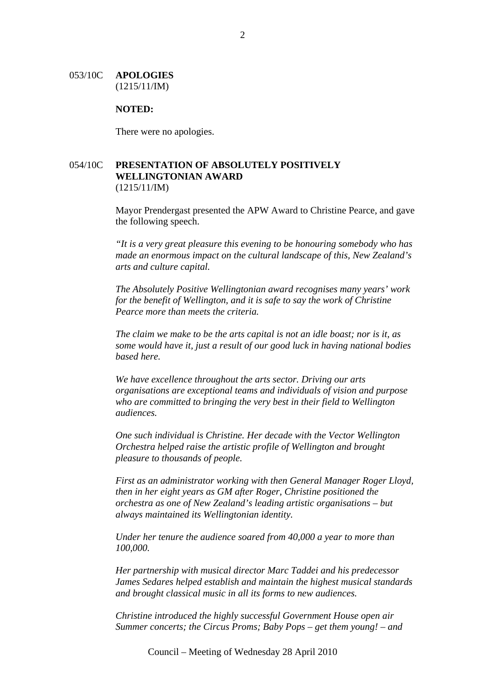#### 053/10C **APOLOGIES** (1215/11/IM)

#### **NOTED:**

There were no apologies.

## 054/10C **PRESENTATION OF ABSOLUTELY POSITIVELY WELLINGTONIAN AWARD** (1215/11/IM)

Mayor Prendergast presented the APW Award to Christine Pearce, and gave the following speech.

*"It is a very great pleasure this evening to be honouring somebody who has made an enormous impact on the cultural landscape of this, New Zealand's arts and culture capital.* 

*The Absolutely Positive Wellingtonian award recognises many years' work for the benefit of Wellington, and it is safe to say the work of Christine Pearce more than meets the criteria.* 

*The claim we make to be the arts capital is not an idle boast; nor is it, as some would have it, just a result of our good luck in having national bodies based here.* 

*We have excellence throughout the arts sector. Driving our arts organisations are exceptional teams and individuals of vision and purpose who are committed to bringing the very best in their field to Wellington audiences.* 

*One such individual is Christine. Her decade with the Vector Wellington Orchestra helped raise the artistic profile of Wellington and brought pleasure to thousands of people.* 

*First as an administrator working with then General Manager Roger Lloyd, then in her eight years as GM after Roger, Christine positioned the orchestra as one of New Zealand's leading artistic organisations – but always maintained its Wellingtonian identity.* 

*Under her tenure the audience soared from 40,000 a year to more than 100,000.* 

*Her partnership with musical director Marc Taddei and his predecessor James Sedares helped establish and maintain the highest musical standards and brought classical music in all its forms to new audiences.* 

*Christine introduced the highly successful Government House open air Summer concerts; the Circus Proms; Baby Pops – get them young! – and*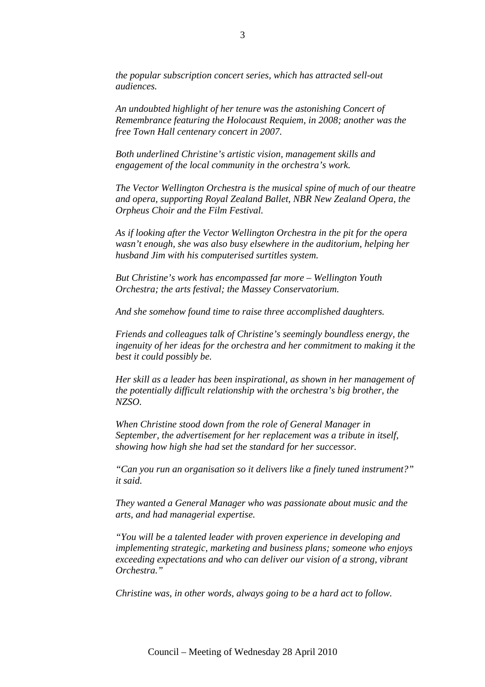*the popular subscription concert series, which has attracted sell-out audiences.* 

*An undoubted highlight of her tenure was the astonishing Concert of Remembrance featuring the Holocaust Requiem, in 2008; another was the free Town Hall centenary concert in 2007.* 

*Both underlined Christine's artistic vision, management skills and engagement of the local community in the orchestra's work.* 

*The Vector Wellington Orchestra is the musical spine of much of our theatre and opera, supporting Royal Zealand Ballet, NBR New Zealand Opera, the Orpheus Choir and the Film Festival.* 

*As if looking after the Vector Wellington Orchestra in the pit for the opera wasn't enough, she was also busy elsewhere in the auditorium, helping her husband Jim with his computerised surtitles system.* 

*But Christine's work has encompassed far more – Wellington Youth Orchestra; the arts festival; the Massey Conservatorium.* 

*And she somehow found time to raise three accomplished daughters.* 

*Friends and colleagues talk of Christine's seemingly boundless energy, the ingenuity of her ideas for the orchestra and her commitment to making it the best it could possibly be.* 

*Her skill as a leader has been inspirational, as shown in her management of the potentially difficult relationship with the orchestra's big brother, the NZSO.* 

*When Christine stood down from the role of General Manager in September, the advertisement for her replacement was a tribute in itself, showing how high she had set the standard for her successor.* 

*"Can you run an organisation so it delivers like a finely tuned instrument?" it said.* 

*They wanted a General Manager who was passionate about music and the arts, and had managerial expertise.* 

*"You will be a talented leader with proven experience in developing and implementing strategic, marketing and business plans; someone who enjoys exceeding expectations and who can deliver our vision of a strong, vibrant Orchestra."* 

*Christine was, in other words, always going to be a hard act to follow.*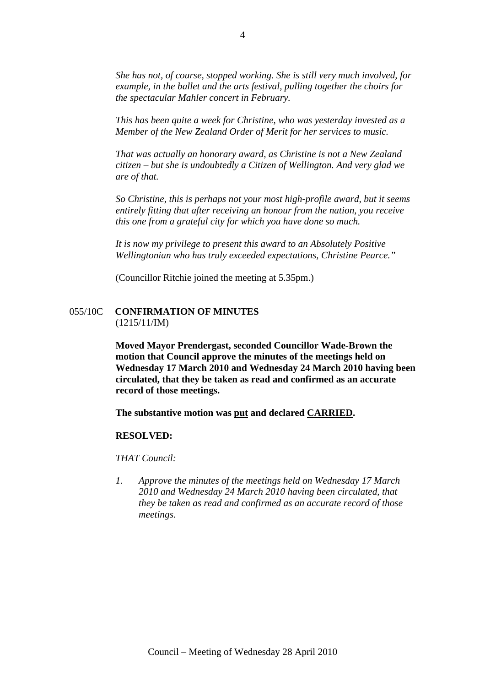*She has not, of course, stopped working. She is still very much involved, for example, in the ballet and the arts festival, pulling together the choirs for the spectacular Mahler concert in February.* 

*This has been quite a week for Christine, who was yesterday invested as a Member of the New Zealand Order of Merit for her services to music.* 

*That was actually an honorary award, as Christine is not a New Zealand citizen – but she is undoubtedly a Citizen of Wellington. And very glad we are of that.* 

*So Christine, this is perhaps not your most high-profile award, but it seems entirely fitting that after receiving an honour from the nation, you receive this one from a grateful city for which you have done so much.* 

*It is now my privilege to present this award to an Absolutely Positive Wellingtonian who has truly exceeded expectations, Christine Pearce."* 

(Councillor Ritchie joined the meeting at 5.35pm.)

#### 055/10C **CONFIRMATION OF MINUTES** (1215/11/IM)

**Moved Mayor Prendergast, seconded Councillor Wade-Brown the motion that Council approve the minutes of the meetings held on Wednesday 17 March 2010 and Wednesday 24 March 2010 having been circulated, that they be taken as read and confirmed as an accurate record of those meetings.** 

**The substantive motion was put and declared CARRIED.** 

#### **RESOLVED:**

*THAT Council:* 

*1. Approve the minutes of the meetings held on Wednesday 17 March 2010 and Wednesday 24 March 2010 having been circulated, that they be taken as read and confirmed as an accurate record of those meetings.*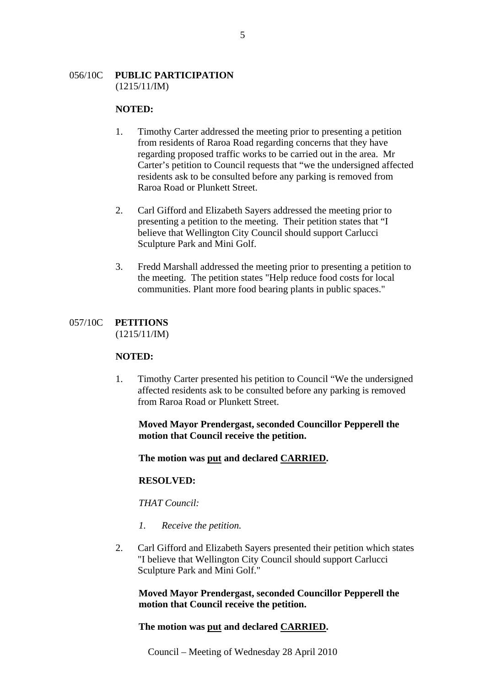### 056/10C **PUBLIC PARTICIPATION** (1215/11/IM)

#### **NOTED:**

- 1. Timothy Carter addressed the meeting prior to presenting a petition from residents of Raroa Road regarding concerns that they have regarding proposed traffic works to be carried out in the area. Mr Carter's petition to Council requests that "we the undersigned affected residents ask to be consulted before any parking is removed from Raroa Road or Plunkett Street.
- 2. Carl Gifford and Elizabeth Sayers addressed the meeting prior to presenting a petition to the meeting. Their petition states that "I believe that Wellington City Council should support Carlucci Sculpture Park and Mini Golf.
- 3. Fredd Marshall addressed the meeting prior to presenting a petition to the meeting. The petition states "Help reduce food costs for local communities. Plant more food bearing plants in public spaces."

## 057/10C **PETITIONS**

(1215/11/IM)

## **NOTED:**

1. Timothy Carter presented his petition to Council "We the undersigned affected residents ask to be consulted before any parking is removed from Raroa Road or Plunkett Street.

**Moved Mayor Prendergast, seconded Councillor Pepperell the motion that Council receive the petition.** 

**The motion was put and declared CARRIED.** 

## **RESOLVED:**

*THAT Council:* 

- *1. Receive the petition.*
- 2. Carl Gifford and Elizabeth Sayers presented their petition which states "I believe that Wellington City Council should support Carlucci Sculpture Park and Mini Golf."

**Moved Mayor Prendergast, seconded Councillor Pepperell the motion that Council receive the petition.** 

## **The motion was put and declared CARRIED.**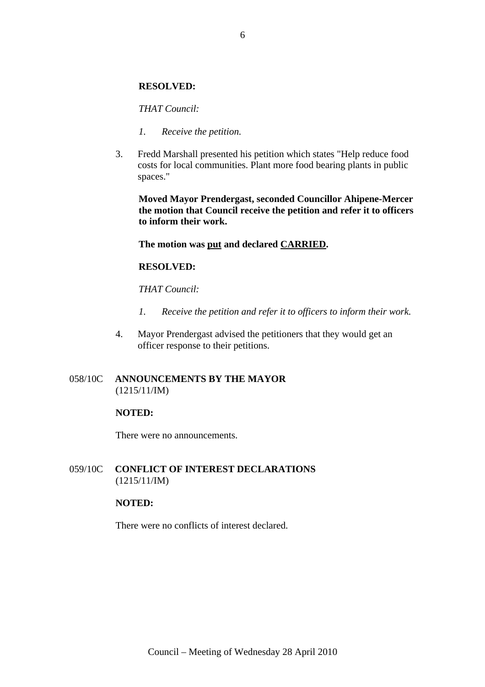### **RESOLVED:**

#### *THAT Council:*

- *1. Receive the petition.*
- 3. Fredd Marshall presented his petition which states "Help reduce food costs for local communities. Plant more food bearing plants in public spaces."

**Moved Mayor Prendergast, seconded Councillor Ahipene-Mercer the motion that Council receive the petition and refer it to officers to inform their work.** 

#### **The motion was put and declared CARRIED.**

### **RESOLVED:**

*THAT Council:* 

- *1. Receive the petition and refer it to officers to inform their work.*
- 4. Mayor Prendergast advised the petitioners that they would get an officer response to their petitions.

## 058/10C **ANNOUNCEMENTS BY THE MAYOR** (1215/11/IM)

#### **NOTED:**

There were no announcements.

## 059/10C **CONFLICT OF INTEREST DECLARATIONS** (1215/11/IM)

#### **NOTED:**

There were no conflicts of interest declared.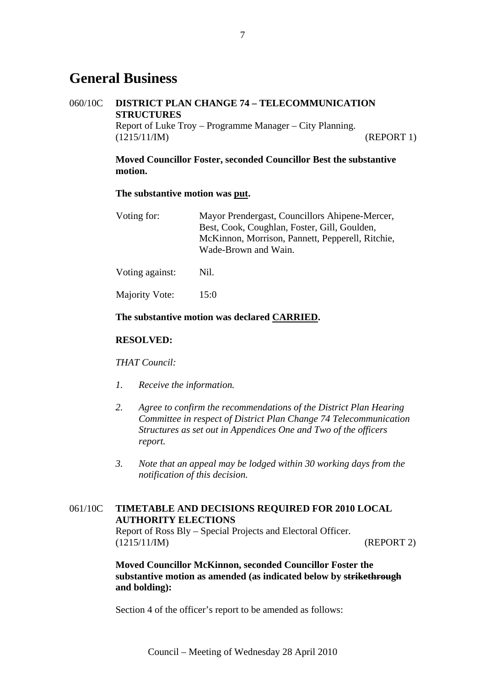# **General Business**

## 060/10C **DISTRICT PLAN CHANGE 74 – TELECOMMUNICATION STRUCTURES**

Report of Luke Troy – Programme Manager – City Planning. (1215/11/IM) (REPORT 1)

## **Moved Councillor Foster, seconded Councillor Best the substantive motion.**

#### **The substantive motion was put.**

| Voting for:     | Mayor Prendergast, Councillors Ahipene-Mercer,<br>Best, Cook, Coughlan, Foster, Gill, Goulden,<br>McKinnon, Morrison, Pannett, Pepperell, Ritchie,<br>Wade-Brown and Wain. |
|-----------------|----------------------------------------------------------------------------------------------------------------------------------------------------------------------------|
| Voting against: | Nil.                                                                                                                                                                       |

Majority Vote: 15:0

## **The substantive motion was declared CARRIED.**

## **RESOLVED:**

*THAT Council:* 

- *1. Receive the information.*
- *2. Agree to confirm the recommendations of the District Plan Hearing Committee in respect of District Plan Change 74 Telecommunication Structures as set out in Appendices One and Two of the officers report.*
- *3. Note that an appeal may be lodged within 30 working days from the notification of this decision.*

## 061/10C **TIMETABLE AND DECISIONS REQUIRED FOR 2010 LOCAL AUTHORITY ELECTIONS**

Report of Ross Bly – Special Projects and Electoral Officer. (1215/11/IM) (REPORT 2)

**Moved Councillor McKinnon, seconded Councillor Foster the substantive motion as amended (as indicated below by strikethrough and bolding):** 

Section 4 of the officer's report to be amended as follows: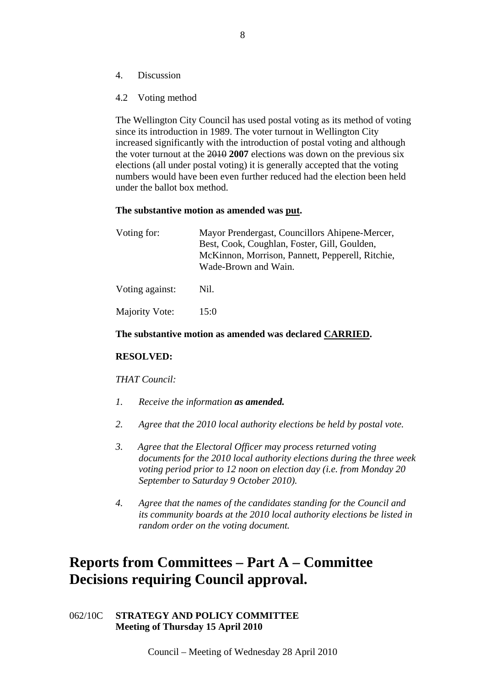- 4. Discussion
- 4.2 Voting method

The Wellington City Council has used postal voting as its method of voting since its introduction in 1989. The voter turnout in Wellington City increased significantly with the introduction of postal voting and although the voter turnout at the 2010 **2007** elections was down on the previous six elections (all under postal voting) it is generally accepted that the voting numbers would have been even further reduced had the election been held under the ballot box method.

#### **The substantive motion as amended was put.**

| Voting for:     | Mayor Prendergast, Councillors Ahipene-Mercer,<br>Best, Cook, Coughlan, Foster, Gill, Goulden,<br>McKinnon, Morrison, Pannett, Pepperell, Ritchie,<br>Wade-Brown and Wain. |  |  |  |
|-----------------|----------------------------------------------------------------------------------------------------------------------------------------------------------------------------|--|--|--|
| Voting against: | Nil.                                                                                                                                                                       |  |  |  |
| Majority Vote:  | 15:0                                                                                                                                                                       |  |  |  |

#### **The substantive motion as amended was declared CARRIED.**

#### **RESOLVED:**

*THAT Council:* 

- *1. Receive the information as amended.*
- *2. Agree that the 2010 local authority elections be held by postal vote.*
- *3. Agree that the Electoral Officer may process returned voting documents for the 2010 local authority elections during the three week voting period prior to 12 noon on election day (i.e. from Monday 20 September to Saturday 9 October 2010).*
- *4. Agree that the names of the candidates standing for the Council and its community boards at the 2010 local authority elections be listed in random order on the voting document.*

# **Reports from Committees – Part A – Committee Decisions requiring Council approval.**

062/10C **STRATEGY AND POLICY COMMITTEE Meeting of Thursday 15 April 2010**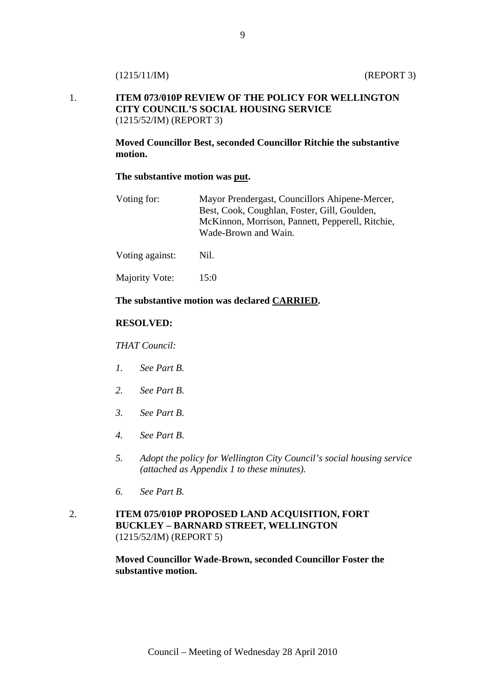## 1. **ITEM 073/010P REVIEW OF THE POLICY FOR WELLINGTON CITY COUNCIL'S SOCIAL HOUSING SERVICE**  (1215/52/IM) (REPORT 3)

**Moved Councillor Best, seconded Councillor Ritchie the substantive motion.** 

#### **The substantive motion was put.**

| Voting for: | Mayor Prendergast, Councillors Ahipene-Mercer,   |
|-------------|--------------------------------------------------|
|             | Best, Cook, Coughlan, Foster, Gill, Goulden,     |
|             | McKinnon, Morrison, Pannett, Pepperell, Ritchie, |
|             | Wade-Brown and Wain.                             |
|             |                                                  |

Voting against: Nil.

Majority Vote: 15:0

## **The substantive motion was declared CARRIED.**

## **RESOLVED:**

*THAT Council:* 

- *1. See Part B.*
- *2. See Part B.*
- *3. See Part B.*
- *4. See Part B.*
- *5. Adopt the policy for Wellington City Council's social housing service (attached as Appendix 1 to these minutes).*
- *6. See Part B.*
- 2. **ITEM 075/010P PROPOSED LAND ACQUISITION, FORT BUCKLEY – BARNARD STREET, WELLINGTON** (1215/52/IM) (REPORT 5)

**Moved Councillor Wade-Brown, seconded Councillor Foster the substantive motion.**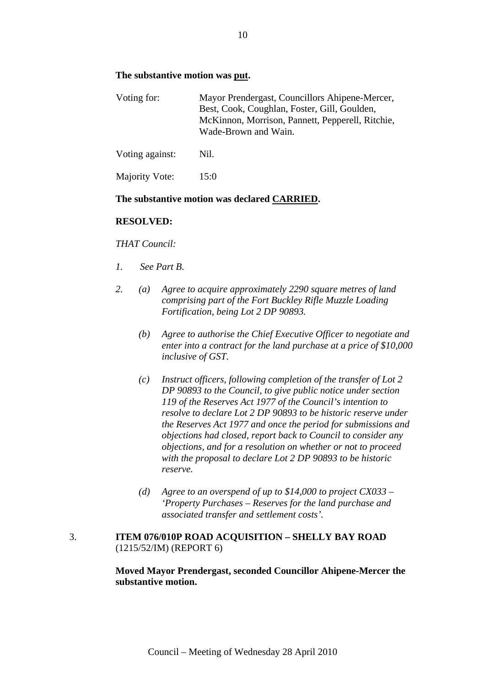## **The substantive motion was put.**

| Voting for:     | Mayor Prendergast, Councillors Ahipene-Mercer,<br>Best, Cook, Coughlan, Foster, Gill, Goulden,<br>McKinnon, Morrison, Pannett, Pepperell, Ritchie,<br>Wade-Brown and Wain. |  |  |  |
|-----------------|----------------------------------------------------------------------------------------------------------------------------------------------------------------------------|--|--|--|
| Voting against: | Nil.                                                                                                                                                                       |  |  |  |
| Majority Vote:  | 15:0                                                                                                                                                                       |  |  |  |

## **The substantive motion was declared CARRIED.**

#### **RESOLVED:**

#### *THAT Council:*

- *1. See Part B.*
- *2. (a) Agree to acquire approximately 2290 square metres of land comprising part of the Fort Buckley Rifle Muzzle Loading Fortification, being Lot 2 DP 90893.* 
	- *(b) Agree to authorise the Chief Executive Officer to negotiate and enter into a contract for the land purchase at a price of \$10,000 inclusive of GST.*
	- *(c) Instruct officers, following completion of the transfer of Lot 2 DP 90893 to the Council, to give public notice under section 119 of the Reserves Act 1977 of the Council's intention to resolve to declare Lot 2 DP 90893 to be historic reserve under the Reserves Act 1977 and once the period for submissions and objections had closed, report back to Council to consider any objections, and for a resolution on whether or not to proceed with the proposal to declare Lot 2 DP 90893 to be historic reserve.*
	- *(d) Agree to an overspend of up to \$14,000 to project CX033 'Property Purchases – Reserves for the land purchase and associated transfer and settlement costs'.*

## 3. **ITEM 076/010P ROAD ACQUISITION – SHELLY BAY ROAD** (1215/52/IM) (REPORT 6)

**Moved Mayor Prendergast, seconded Councillor Ahipene-Mercer the substantive motion.**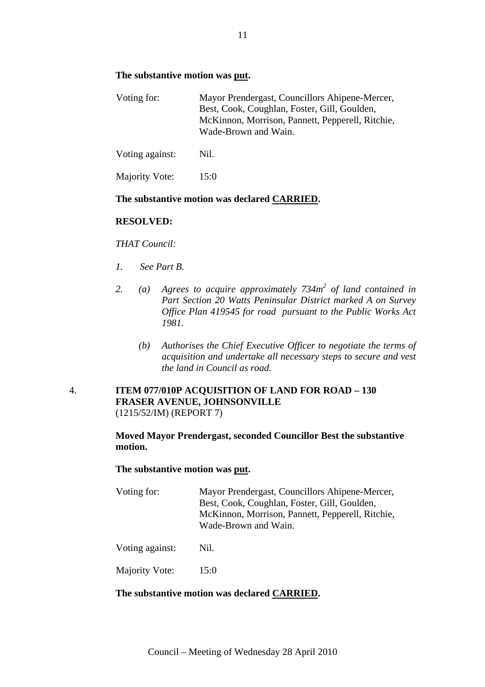## **The substantive motion was put.**

| Voting for:     | Mayor Prendergast, Councillors Ahipene-Mercer,<br>Best, Cook, Coughlan, Foster, Gill, Goulden,<br>McKinnon, Morrison, Pannett, Pepperell, Ritchie,<br>Wade-Brown and Wain. |  |  |
|-----------------|----------------------------------------------------------------------------------------------------------------------------------------------------------------------------|--|--|
| Voting against: | Nil.                                                                                                                                                                       |  |  |
| Majority Vote:  | 15:0                                                                                                                                                                       |  |  |

## **The substantive motion was declared CARRIED.**

#### **RESOLVED:**

#### *THAT Council:*

- *1. See Part B.*
- 2. (a) Agrees to acquire approximately 734m<sup>2</sup> of land contained in *Part Section 20 Watts Peninsular District marked A on Survey Office Plan 419545 for road pursuant to the Public Works Act 1981.* 
	- *(b) Authorises the Chief Executive Officer to negotiate the terms of acquisition and undertake all necessary steps to secure and vest the land in Council as road.*

## 4. **ITEM 077/010P ACQUISITION OF LAND FOR ROAD – 130 FRASER AVENUE, JOHNSONVILLE**  (1215/52/IM) (REPORT 7)

**Moved Mayor Prendergast, seconded Councillor Best the substantive motion.** 

#### **The substantive motion was put.**

| Voting for: | Mayor Prendergast, Councillors Ahipene-Mercer,   |
|-------------|--------------------------------------------------|
|             | Best, Cook, Coughlan, Foster, Gill, Goulden,     |
|             | McKinnon, Morrison, Pannett, Pepperell, Ritchie, |
|             | Wade-Brown and Wain.                             |
|             |                                                  |

Voting against: Nil.

Majority Vote: 15:0

## **The substantive motion was declared CARRIED.**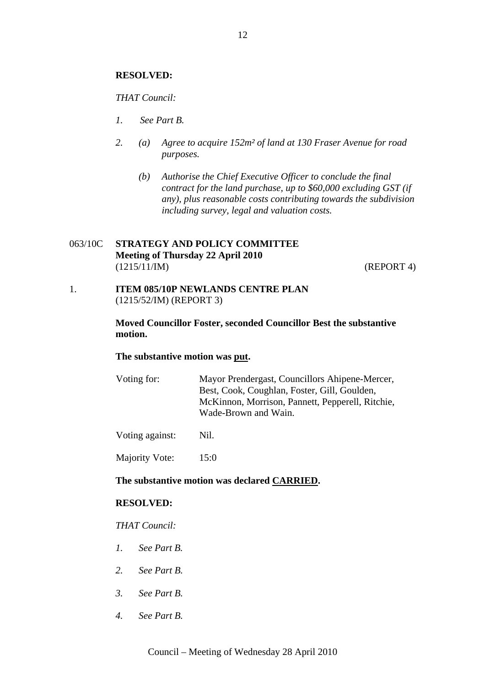### **RESOLVED:**

*THAT Council:*

- *1. See Part B.*
- *2. (a) Agree to acquire 152m² of land at 130 Fraser Avenue for road purposes.* 
	- *(b) Authorise the Chief Executive Officer to conclude the final contract for the land purchase, up to \$60,000 excluding GST (if any), plus reasonable costs contributing towards the subdivision including survey, legal and valuation costs.*

## 063/10C **STRATEGY AND POLICY COMMITTEE Meeting of Thursday 22 April 2010**  (1215/11/IM) (REPORT 4)

1. **ITEM 085/10P NEWLANDS CENTRE PLAN**  (1215/52/IM) (REPORT 3)

> **Moved Councillor Foster, seconded Councillor Best the substantive motion.**

#### **The substantive motion was put.**

Voting for: Mayor Prendergast, Councillors Ahipene-Mercer, Best, Cook, Coughlan, Foster, Gill, Goulden, McKinnon, Morrison, Pannett, Pepperell, Ritchie, Wade-Brown and Wain.

Voting against: Nil.

Majority Vote: 15:0

## **The substantive motion was declared CARRIED.**

#### **RESOLVED:**

#### *THAT Council:*

- *1. See Part B.*
- *2. See Part B.*
- *3. See Part B.*
- *4. See Part B.*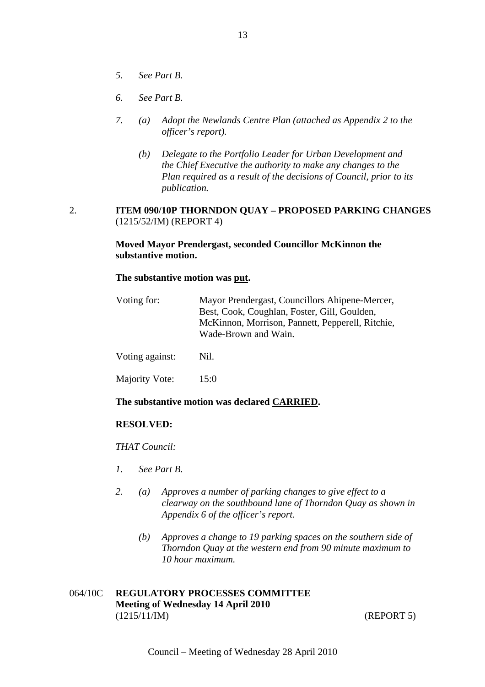- *5. See Part B.*
- *6. See Part B.*
- *7. (a) Adopt the Newlands Centre Plan (attached as Appendix 2 to the officer's report).* 
	- *(b) Delegate to the Portfolio Leader for Urban Development and the Chief Executive the authority to make any changes to the Plan required as a result of the decisions of Council, prior to its publication.*

## 2. **ITEM 090/10P THORNDON QUAY – PROPOSED PARKING CHANGES**  (1215/52/IM) (REPORT 4)

## **Moved Mayor Prendergast, seconded Councillor McKinnon the substantive motion.**

### **The substantive motion was put.**

| Voting for:     | Mayor Prendergast, Councillors Ahipene-Mercer,<br>Best, Cook, Coughlan, Foster, Gill, Goulden,<br>McKinnon, Morrison, Pannett, Pepperell, Ritchie,<br>Wade-Brown and Wain. |  |  |
|-----------------|----------------------------------------------------------------------------------------------------------------------------------------------------------------------------|--|--|
| Voting against: | Nil.                                                                                                                                                                       |  |  |
| Majority Vote:  | 15:0                                                                                                                                                                       |  |  |

## **The substantive motion was declared CARRIED.**

#### **RESOLVED:**

*THAT Council:* 

- *1. See Part B.*
- *2. (a) Approves a number of parking changes to give effect to a clearway on the southbound lane of Thorndon Quay as shown in Appendix 6 of the officer's report.* 
	- *(b) Approves a change to 19 parking spaces on the southern side of Thorndon Quay at the western end from 90 minute maximum to 10 hour maximum.*

## 064/10C **REGULATORY PROCESSES COMMITTEE Meeting of Wednesday 14 April 2010**  (1215/11/IM) (REPORT 5)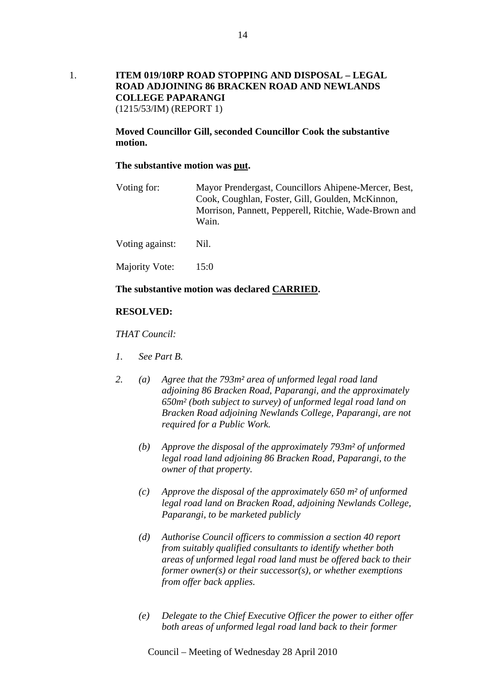1. **ITEM 019/10RP ROAD STOPPING AND DISPOSAL – LEGAL ROAD ADJOINING 86 BRACKEN ROAD AND NEWLANDS COLLEGE PAPARANGI**  (1215/53/IM) (REPORT 1)

> **Moved Councillor Gill, seconded Councillor Cook the substantive motion.**

#### **The substantive motion was put.**

Voting for: Mayor Prendergast, Councillors Ahipene-Mercer, Best, Cook, Coughlan, Foster, Gill, Goulden, McKinnon, Morrison, Pannett, Pepperell, Ritchie, Wade-Brown and Wain.

Voting against: Nil.

Majority Vote: 15:0

#### **The substantive motion was declared CARRIED.**

#### **RESOLVED:**

*THAT Council:* 

- *1. See Part B.*
- *2. (a) Agree that the 793m² area of unformed legal road land adjoining 86 Bracken Road, Paparangi, and the approximately 650m² (both subject to survey) of unformed legal road land on Bracken Road adjoining Newlands College, Paparangi, are not required for a Public Work.* 
	- *(b) Approve the disposal of the approximately 793m² of unformed legal road land adjoining 86 Bracken Road, Paparangi, to the owner of that property.*
	- *(c) Approve the disposal of the approximately 650 m² of unformed legal road land on Bracken Road, adjoining Newlands College, Paparangi, to be marketed publicly*
	- *(d) Authorise Council officers to commission a section 40 report from suitably qualified consultants to identify whether both areas of unformed legal road land must be offered back to their former owner(s) or their successor(s), or whether exemptions from offer back applies.*
	- *(e) Delegate to the Chief Executive Officer the power to either offer both areas of unformed legal road land back to their former*

Council – Meeting of Wednesday 28 April 2010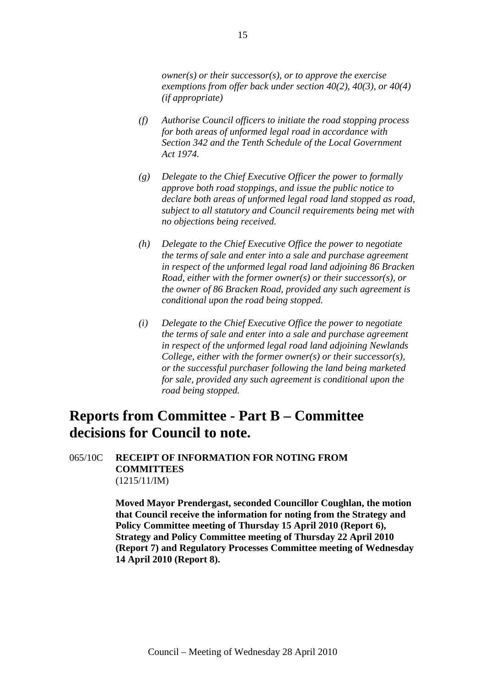*owner(s) or their successor(s), or to approve the exercise exemptions from offer back under section 40(2), 40(3), or 40(4) (if appropriate)* 

- *(f) Authorise Council officers to initiate the road stopping process for both areas of unformed legal road in accordance with Section 342 and the Tenth Schedule of the Local Government Act 1974.*
- *(g) Delegate to the Chief Executive Officer the power to formally approve both road stoppings, and issue the public notice to declare both areas of unformed legal road land stopped as road, subject to all statutory and Council requirements being met with no objections being received.*
- *(h) Delegate to the Chief Executive Office the power to negotiate the terms of sale and enter into a sale and purchase agreement in respect of the unformed legal road land adjoining 86 Bracken Road, either with the former owner(s) or their successor(s), or the owner of 86 Bracken Road, provided any such agreement is conditional upon the road being stopped.*
- *(i) Delegate to the Chief Executive Office the power to negotiate the terms of sale and enter into a sale and purchase agreement in respect of the unformed legal road land adjoining Newlands College, either with the former owner(s) or their successor(s), or the successful purchaser following the land being marketed for sale, provided any such agreement is conditional upon the road being stopped.*

# **Reports from Committee - Part B – Committee decisions for Council to note.**

## 065/10C **RECEIPT OF INFORMATION FOR NOTING FROM COMMITTEES**  (1215/11/IM)

**Moved Mayor Prendergast, seconded Councillor Coughlan, the motion that Council receive the information for noting from the Strategy and Policy Committee meeting of Thursday 15 April 2010 (Report 6), Strategy and Policy Committee meeting of Thursday 22 April 2010 (Report 7) and Regulatory Processes Committee meeting of Wednesday 14 April 2010 (Report 8).**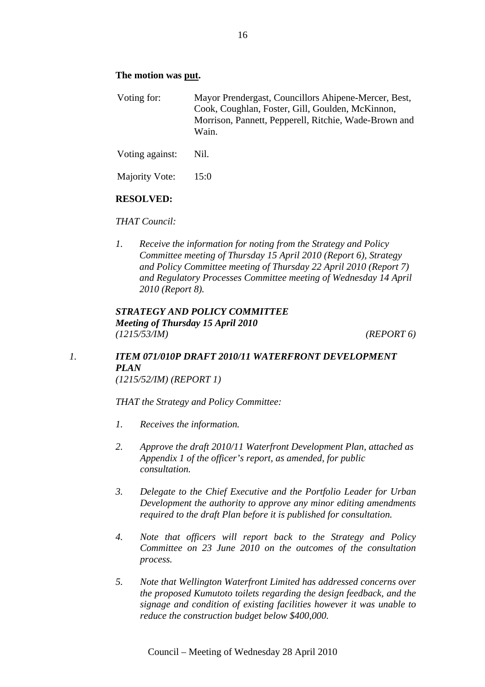## **The motion was put.**

Voting for: Mayor Prendergast, Councillors Ahipene-Mercer, Best, Cook, Coughlan, Foster, Gill, Goulden, McKinnon, Morrison, Pannett, Pepperell, Ritchie, Wade-Brown and Wain.

Voting against: Nil.

Majority Vote: 15:0

## **RESOLVED:**

#### *THAT Council:*

*1. Receive the information for noting from the Strategy and Policy Committee meeting of Thursday 15 April 2010 (Report 6), Strategy and Policy Committee meeting of Thursday 22 April 2010 (Report 7) and Regulatory Processes Committee meeting of Wednesday 14 April 2010 (Report 8).* 

## *STRATEGY AND POLICY COMMITTEE Meeting of Thursday 15 April 2010 (1215/53/IM) (REPORT 6)*

## *1. ITEM 071/010P DRAFT 2010/11 WATERFRONT DEVELOPMENT PLAN (1215/52/IM) (REPORT 1)*

*THAT the Strategy and Policy Committee:* 

- *1. Receives the information.*
- *2. Approve the draft 2010/11 Waterfront Development Plan, attached as Appendix 1 of the officer's report, as amended, for public consultation.*
- *3. Delegate to the Chief Executive and the Portfolio Leader for Urban Development the authority to approve any minor editing amendments required to the draft Plan before it is published for consultation.*
- *4. Note that officers will report back to the Strategy and Policy Committee on 23 June 2010 on the outcomes of the consultation process.*
- *5. Note that Wellington Waterfront Limited has addressed concerns over the proposed Kumutoto toilets regarding the design feedback, and the signage and condition of existing facilities however it was unable to reduce the construction budget below \$400,000.*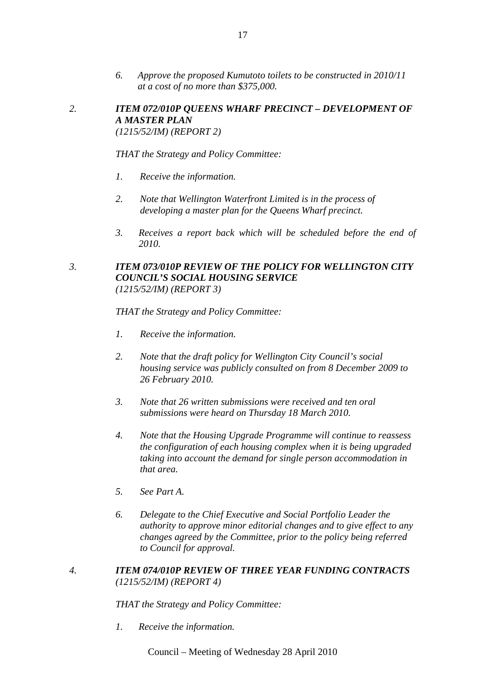- *6. Approve the proposed Kumutoto toilets to be constructed in 2010/11 at a cost of no more than \$375,000.*
- *2. ITEM 072/010P QUEENS WHARF PRECINCT DEVELOPMENT OF A MASTER PLAN (1215/52/IM) (REPORT 2)*

*THAT the Strategy and Policy Committee:* 

- *1. Receive the information.*
- *2. Note that Wellington Waterfront Limited is in the process of developing a master plan for the Queens Wharf precinct.*
- *3. Receives a report back which will be scheduled before the end of 2010.*

## *3. ITEM 073/010P REVIEW OF THE POLICY FOR WELLINGTON CITY COUNCIL'S SOCIAL HOUSING SERVICE (1215/52/IM) (REPORT 3)*

*THAT the Strategy and Policy Committee:* 

- *1. Receive the information.*
- *2. Note that the draft policy for Wellington City Council's social housing service was publicly consulted on from 8 December 2009 to 26 February 2010.*
- *3. Note that 26 written submissions were received and ten oral submissions were heard on Thursday 18 March 2010.*
- *4. Note that the Housing Upgrade Programme will continue to reassess the configuration of each housing complex when it is being upgraded taking into account the demand for single person accommodation in that area.*
- *5. See Part A.*
- *6. Delegate to the Chief Executive and Social Portfolio Leader the authority to approve minor editorial changes and to give effect to any changes agreed by the Committee, prior to the policy being referred to Council for approval.*

## *4. ITEM 074/010P REVIEW OF THREE YEAR FUNDING CONTRACTS (1215/52/IM) (REPORT 4)*

*THAT the Strategy and Policy Committee:* 

*1. Receive the information.*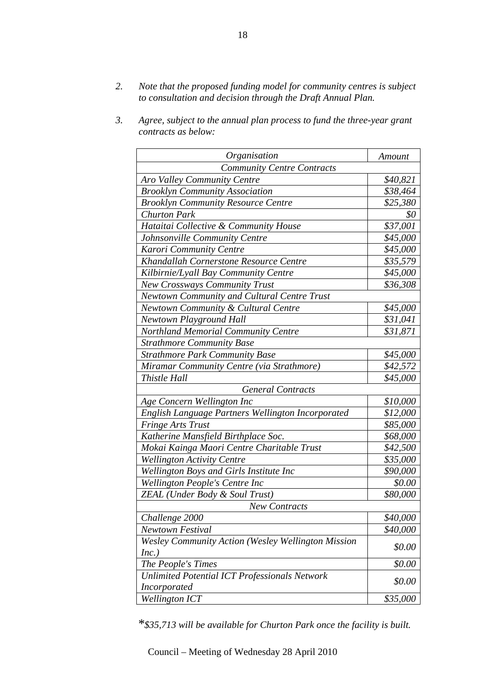- *2. Note that the proposed funding model for community centres is subject to consultation and decision through the Draft Annual Plan.*
- *3. Agree, subject to the annual plan process to fund the three-year grant contracts as below:*

| Organisation                                              | Amount   |  |  |  |
|-----------------------------------------------------------|----------|--|--|--|
| <b>Community Centre Contracts</b>                         |          |  |  |  |
| Aro Valley Community Centre                               | \$40,821 |  |  |  |
| <b>Brooklyn Community Association</b>                     | \$38,464 |  |  |  |
| <b>Brooklyn Community Resource Centre</b>                 | \$25,380 |  |  |  |
| <b>Churton Park</b>                                       | \$0      |  |  |  |
| Hataitai Collective & Community House                     | \$37,001 |  |  |  |
| Johnsonville Community Centre                             | \$45,000 |  |  |  |
| Karori Community Centre                                   | \$45,000 |  |  |  |
| Khandallah Cornerstone Resource Centre                    | \$35,579 |  |  |  |
| Kilbirnie/Lyall Bay Community Centre                      | \$45,000 |  |  |  |
| <b>New Crossways Community Trust</b>                      | \$36,308 |  |  |  |
| <b>Newtown Community and Cultural Centre Trust</b>        |          |  |  |  |
| Newtown Community & Cultural Centre                       | \$45,000 |  |  |  |
| <b>Newtown Playground Hall</b>                            | \$31,041 |  |  |  |
| <b>Northland Memorial Community Centre</b>                | \$31,871 |  |  |  |
| <b>Strathmore Community Base</b>                          |          |  |  |  |
| <b>Strathmore Park Community Base</b>                     | \$45,000 |  |  |  |
| Miramar Community Centre (via Strathmore)                 | \$42,572 |  |  |  |
| Thistle Hall                                              | \$45,000 |  |  |  |
| <b>General Contracts</b>                                  |          |  |  |  |
| Age Concern Wellington Inc                                | \$10,000 |  |  |  |
| English Language Partners Wellington Incorporated         | \$12,000 |  |  |  |
| <b>Fringe Arts Trust</b>                                  | \$85,000 |  |  |  |
| Katherine Mansfield Birthplace Soc.                       | \$68,000 |  |  |  |
| Mokai Kainga Maori Centre Charitable Trust                | \$42,500 |  |  |  |
| <b>Wellington Activity Centre</b>                         | \$35,000 |  |  |  |
| Wellington Boys and Girls Institute Inc                   | \$90,000 |  |  |  |
| Wellington People's Centre Inc                            | \$0.00   |  |  |  |
| ZEAL (Under Body & Soul Trust)                            | \$80,000 |  |  |  |
| <b>New Contracts</b>                                      |          |  |  |  |
| Challenge 2000                                            | \$40,000 |  |  |  |
| Newtown Festival                                          | \$40,000 |  |  |  |
| <b>Wesley Community Action (Wesley Wellington Mission</b> | \$0.00   |  |  |  |
| Inc.)<br>The People's Times                               | \$0.00   |  |  |  |
| <b>Unlimited Potential ICT Professionals Network</b>      |          |  |  |  |
| <b>Incorporated</b>                                       | \$0.00   |  |  |  |
| <b>Wellington ICT</b>                                     | \$35,000 |  |  |  |

*\*\$35,713 will be available for Churton Park once the facility is built.*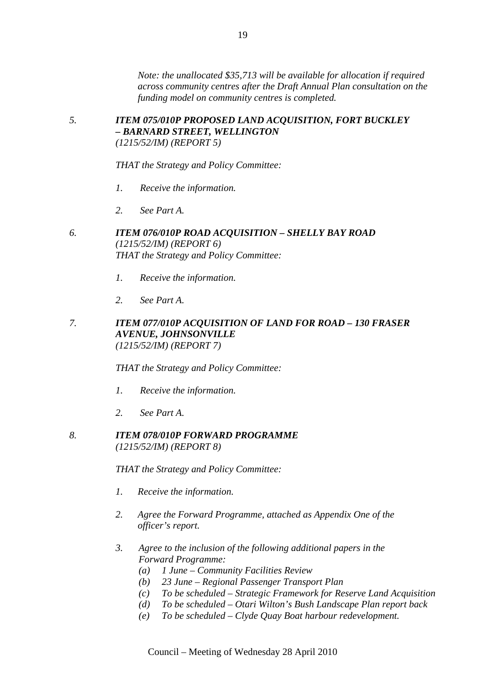*Note: the unallocated \$35,713 will be available for allocation if required across community centres after the Draft Annual Plan consultation on the funding model on community centres is completed.* 

## *5. ITEM 075/010P PROPOSED LAND ACQUISITION, FORT BUCKLEY – BARNARD STREET, WELLINGTON (1215/52/IM) (REPORT 5)*

*THAT the Strategy and Policy Committee:* 

- *1. Receive the information.*
- *2. See Part A.*

## *6. ITEM 076/010P ROAD ACQUISITION – SHELLY BAY ROAD (1215/52/IM) (REPORT 6) THAT the Strategy and Policy Committee:*

- *1. Receive the information.*
- *2. See Part A.*

## *7. ITEM 077/010P ACQUISITION OF LAND FOR ROAD – 130 FRASER AVENUE, JOHNSONVILLE (1215/52/IM) (REPORT 7)*

*THAT the Strategy and Policy Committee:* 

- *1. Receive the information.*
- *2. See Part A.*

## *8. ITEM 078/010P FORWARD PROGRAMME (1215/52/IM) (REPORT 8)*

*THAT the Strategy and Policy Committee:* 

- *1. Receive the information.*
- *2. Agree the Forward Programme, attached as Appendix One of the officer's report.*
- *3. Agree to the inclusion of the following additional papers in the Forward Programme:* 
	- *(a) 1 June Community Facilities Review*
	- *(b) 23 June Regional Passenger Transport Plan*
	- *(c) To be scheduled Strategic Framework for Reserve Land Acquisition*
	- *(d) To be scheduled Otari Wilton's Bush Landscape Plan report back*
	- *(e) To be scheduled Clyde Quay Boat harbour redevelopment.*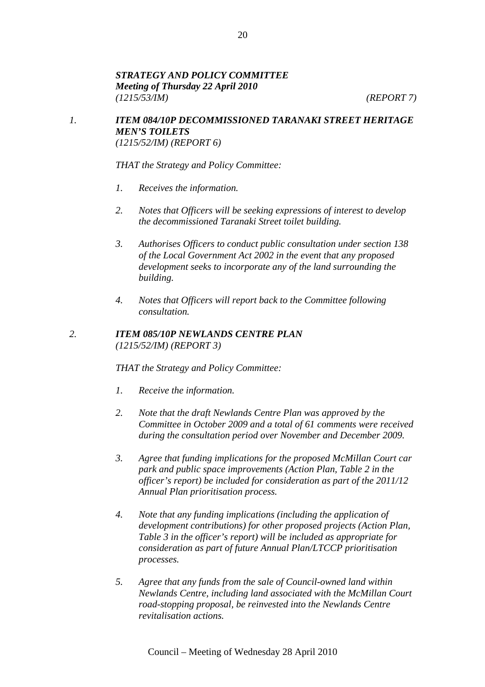## *STRATEGY AND POLICY COMMITTEE Meeting of Thursday 22 April 2010 (1215/53/IM) (REPORT 7)*

## *1. ITEM 084/10P DECOMMISSIONED TARANAKI STREET HERITAGE MEN'S TOILETS (1215/52/IM) (REPORT 6)*

*THAT the Strategy and Policy Committee:* 

- *1. Receives the information.*
- *2. Notes that Officers will be seeking expressions of interest to develop the decommissioned Taranaki Street toilet building.*
- *3. Authorises Officers to conduct public consultation under section 138 of the Local Government Act 2002 in the event that any proposed development seeks to incorporate any of the land surrounding the building.*
- *4. Notes that Officers will report back to the Committee following consultation.*

## *2. ITEM 085/10P NEWLANDS CENTRE PLAN (1215/52/IM) (REPORT 3)*

*THAT the Strategy and Policy Committee:* 

- *1. Receive the information.*
- *2. Note that the draft Newlands Centre Plan was approved by the Committee in October 2009 and a total of 61 comments were received during the consultation period over November and December 2009.*
- *3. Agree that funding implications for the proposed McMillan Court car park and public space improvements (Action Plan, Table 2 in the officer's report) be included for consideration as part of the 2011/12 Annual Plan prioritisation process.*
- *4. Note that any funding implications (including the application of development contributions) for other proposed projects (Action Plan, Table 3 in the officer's report) will be included as appropriate for consideration as part of future Annual Plan/LTCCP prioritisation processes.*
- *5. Agree that any funds from the sale of Council-owned land within Newlands Centre, including land associated with the McMillan Court road-stopping proposal, be reinvested into the Newlands Centre revitalisation actions.*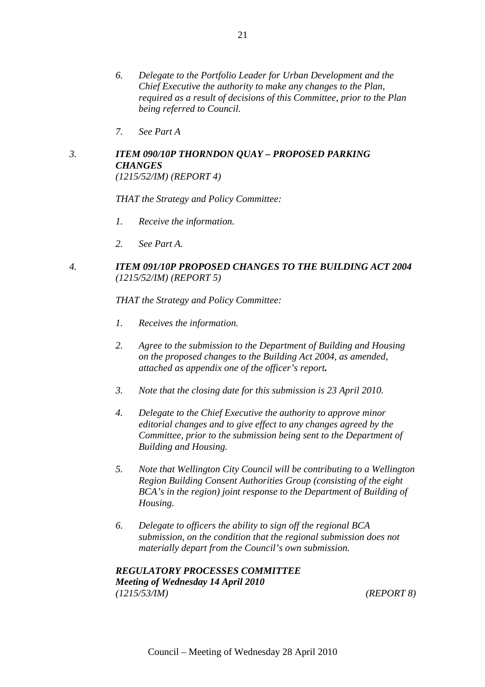- *6. Delegate to the Portfolio Leader for Urban Development and the Chief Executive the authority to make any changes to the Plan, required as a result of decisions of this Committee, prior to the Plan being referred to Council.*
- *7. See Part A*

# *3. ITEM 090/10P THORNDON QUAY – PROPOSED PARKING CHANGES*

*(1215/52/IM) (REPORT 4)* 

*THAT the Strategy and Policy Committee:* 

- *1. Receive the information.*
- *2. See Part A.*

## *4. ITEM 091/10P PROPOSED CHANGES TO THE BUILDING ACT 2004 (1215/52/IM) (REPORT 5)*

*THAT the Strategy and Policy Committee:* 

- *1. Receives the information.*
- *2. Agree to the submission to the Department of Building and Housing on the proposed changes to the Building Act 2004, as amended, attached as appendix one of the officer's report.*
- *3. Note that the closing date for this submission is 23 April 2010.*
- *4. Delegate to the Chief Executive the authority to approve minor editorial changes and to give effect to any changes agreed by the Committee, prior to the submission being sent to the Department of Building and Housing.*
- *5. Note that Wellington City Council will be contributing to a Wellington Region Building Consent Authorities Group (consisting of the eight BCA's in the region) joint response to the Department of Building of Housing.*
- *6. Delegate to officers the ability to sign off the regional BCA submission, on the condition that the regional submission does not materially depart from the Council's own submission.*

*REGULATORY PROCESSES COMMITTEE Meeting of Wednesday 14 April 2010 (1215/53/IM) (REPORT 8)*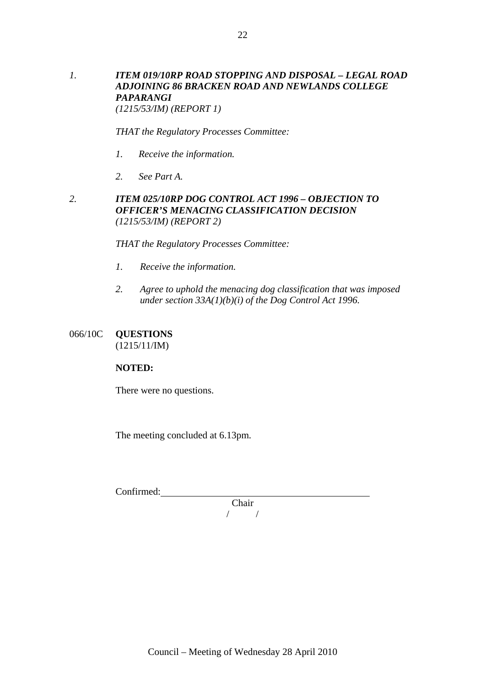## *1. ITEM 019/10RP ROAD STOPPING AND DISPOSAL – LEGAL ROAD ADJOINING 86 BRACKEN ROAD AND NEWLANDS COLLEGE PAPARANGI (1215/53/IM) (REPORT 1)*

22

*THAT the Regulatory Processes Committee:* 

- *1. Receive the information.*
- *2. See Part A.*

## *2. ITEM 025/10RP DOG CONTROL ACT 1996 – OBJECTION TO OFFICER'S MENACING CLASSIFICATION DECISION (1215/53/IM) (REPORT 2)*

*THAT the Regulatory Processes Committee:* 

- *1. Receive the information.*
- *2. Agree to uphold the menacing dog classification that was imposed under section 33A(1)(b)(i) of the Dog Control Act 1996.*

## 066/10C **QUESTIONS**

(1215/11/IM)

## **NOTED:**

There were no questions.

The meeting concluded at 6.13pm.

Confirmed:

Chair / /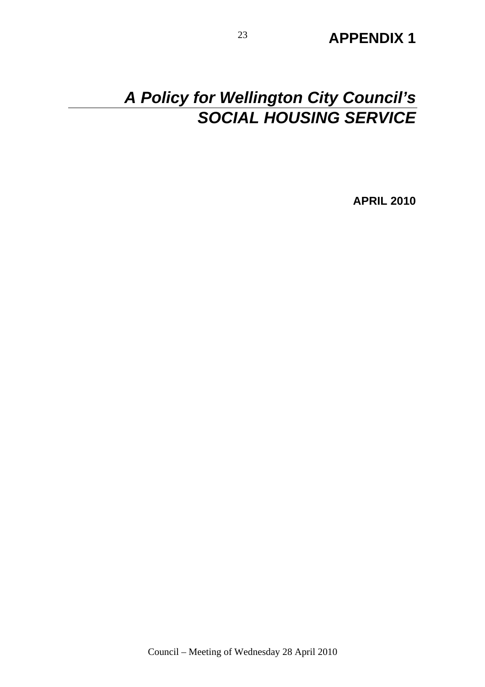# <sup>23</sup> **APPENDIX 1**

# *A Policy for Wellington City Council's SOCIAL HOUSING SERVICE*

**APRIL 2010**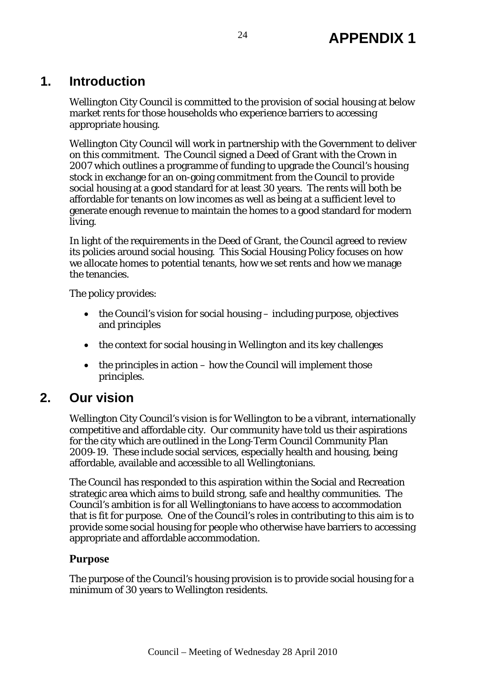# **1. Introduction**

Wellington City Council is committed to the provision of social housing at below market rents for those households who experience barriers to accessing appropriate housing.

Wellington City Council will work in partnership with the Government to deliver on this commitment. The Council signed a Deed of Grant with the Crown in 2007 which outlines a programme of funding to upgrade the Council's housing stock in exchange for an on-going commitment from the Council to provide social housing at a good standard for at least 30 years. The rents will both be affordable for tenants on low incomes as well as being at a sufficient level to generate enough revenue to maintain the homes to a good standard for modern living.

In light of the requirements in the Deed of Grant, the Council agreed to review its policies around social housing. This Social Housing Policy focuses on how we allocate homes to potential tenants, how we set rents and how we manage the tenancies.

The policy provides:

- the Council's vision for social housing including purpose, objectives and principles
- the context for social housing in Wellington and its key challenges
- $\bullet$  the principles in action how the Council will implement those principles.

# **2. Our vision**

Wellington City Council's vision is for Wellington to be a vibrant, internationally competitive and affordable city. Our community have told us their aspirations for the city which are outlined in the Long-Term Council Community Plan 2009-19. These include social services, especially health and housing, being affordable, available and accessible to all Wellingtonians.

The Council has responded to this aspiration within the Social and Recreation strategic area which aims to build strong, safe and healthy communities. The Council's ambition is for all Wellingtonians to have access to accommodation that is fit for purpose. One of the Council's roles in contributing to this aim is to provide some social housing for people who otherwise have barriers to accessing appropriate and affordable accommodation.

## **Purpose**

The purpose of the Council's housing provision is to provide social housing for a minimum of 30 years to Wellington residents.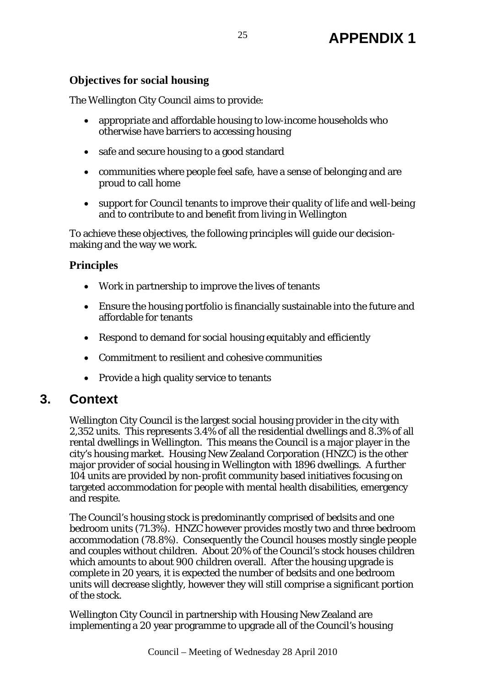## **Objectives for social housing**

The Wellington City Council aims to provide:

- appropriate and affordable housing to low-income households who otherwise have barriers to accessing housing
- safe and secure housing to a good standard
- communities where people feel safe, have a sense of belonging and are proud to call home
- support for Council tenants to improve their quality of life and well-being and to contribute to and benefit from living in Wellington

To achieve these objectives, the following principles will guide our decisionmaking and the way we work.

## **Principles**

- Work in partnership to improve the lives of tenants
- Ensure the housing portfolio is financially sustainable into the future and affordable for tenants
- Respond to demand for social housing equitably and efficiently
- Commitment to resilient and cohesive communities
- Provide a high quality service to tenants

# **3. Context**

Wellington City Council is the largest social housing provider in the city with 2,352 units. This represents 3.4% of all the residential dwellings and 8.3% of all rental dwellings in Wellington. This means the Council is a major player in the city's housing market. Housing New Zealand Corporation (HNZC) is the other major provider of social housing in Wellington with 1896 dwellings. A further 104 units are provided by non-profit community based initiatives focusing on targeted accommodation for people with mental health disabilities, emergency and respite.

The Council's housing stock is predominantly comprised of bedsits and one bedroom units (71.3%). HNZC however provides mostly two and three bedroom accommodation (78.8%). Consequently the Council houses mostly single people and couples without children. About 20% of the Council's stock houses children which amounts to about 900 children overall. After the housing upgrade is complete in 20 years, it is expected the number of bedsits and one bedroom units will decrease slightly, however they will still comprise a significant portion of the stock.

Wellington City Council in partnership with Housing New Zealand are implementing a 20 year programme to upgrade all of the Council's housing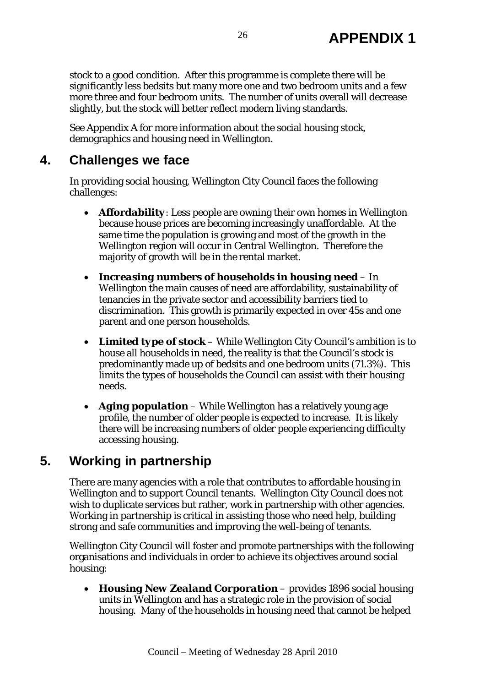stock to a good condition. After this programme is complete there will be significantly less bedsits but many more one and two bedroom units and a few more three and four bedroom units. The number of units overall will decrease slightly, but the stock will better reflect modern living standards.

See Appendix A for more information about the social housing stock, demographics and housing need in Wellington.

# **4. Challenges we face**

In providing social housing, Wellington City Council faces the following challenges:

- *Affordability*: Less people are owning their own homes in Wellington because house prices are becoming increasingly unaffordable. At the same time the population is growing and most of the growth in the Wellington region will occur in Central Wellington. Therefore the majority of growth will be in the rental market.
- *Increasing numbers of households in housing need* In Wellington the main causes of need are affordability, sustainability of tenancies in the private sector and accessibility barriers tied to discrimination. This growth is primarily expected in over 45s and one parent and one person households.
- *Limited type of stock* While Wellington City Council's ambition is to house all households in need, the reality is that the Council's stock is predominantly made up of bedsits and one bedroom units (71.3%). This limits the types of households the Council can assist with their housing needs.
- *Aging population* While Wellington has a relatively young age profile, the number of older people is expected to increase. It is likely there will be increasing numbers of older people experiencing difficulty accessing housing.

# **5. Working in partnership**

There are many agencies with a role that contributes to affordable housing in Wellington and to support Council tenants. Wellington City Council does not wish to duplicate services but rather, work in partnership with other agencies. Working in partnership is critical in assisting those who need help, building strong and safe communities and improving the well-being of tenants.

Wellington City Council will foster and promote partnerships with the following organisations and individuals in order to achieve its objectives around social housing:

• *Housing New Zealand Corporation* – provides 1896 social housing units in Wellington and has a strategic role in the provision of social housing. Many of the households in housing need that cannot be helped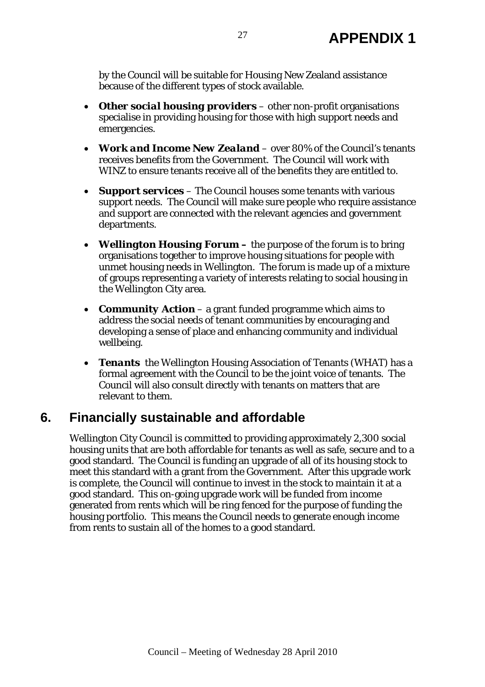by the Council will be suitable for Housing New Zealand assistance because of the different types of stock available.

- *Other social housing providers*  other non-profit organisations specialise in providing housing for those with high support needs and emergencies.
- *Work and Income New Zealand*  over 80% of the Council's tenants receives benefits from the Government. The Council will work with WINZ to ensure tenants receive all of the benefits they are entitled to.
- *Support services*  The Council houses some tenants with various support needs. The Council will make sure people who require assistance and support are connected with the relevant agencies and government departments.
- *Wellington Housing Forum* the purpose of the forum is to bring organisations together to improve housing situations for people with unmet housing needs in Wellington. The forum is made up of a mixture of groups representing a variety of interests relating to social housing in the Wellington City area.
- *Community Action* a grant funded programme which aims to address the social needs of tenant communities by encouraging and developing a sense of place and enhancing community and individual wellbeing.
- *Tenants* the Wellington Housing Association of Tenants (WHAT) has a formal agreement with the Council to be the joint voice of tenants. The Council will also consult directly with tenants on matters that are relevant to them.

# **6. Financially sustainable and affordable**

Wellington City Council is committed to providing approximately 2,300 social housing units that are both affordable for tenants as well as safe, secure and to a good standard. The Council is funding an upgrade of all of its housing stock to meet this standard with a grant from the Government. After this upgrade work is complete, the Council will continue to invest in the stock to maintain it at a good standard. This on-going upgrade work will be funded from income generated from rents which will be ring fenced for the purpose of funding the housing portfolio. This means the Council needs to generate enough income from rents to sustain all of the homes to a good standard.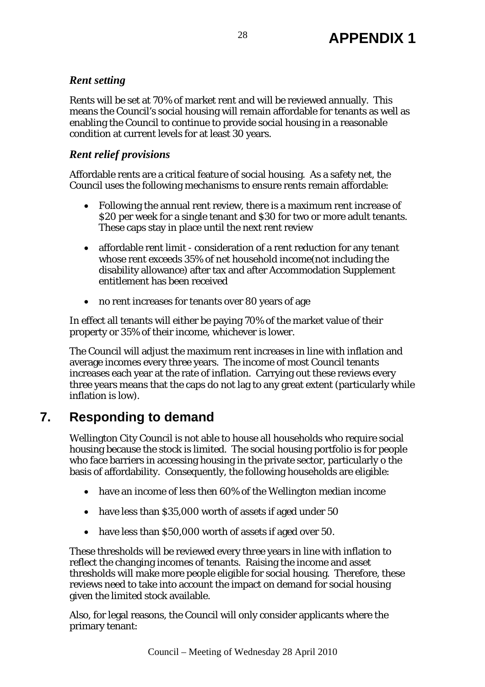## *Rent setting*

Rents will be set at 70% of market rent and will be reviewed annually. This means the Council's social housing will remain affordable for tenants as well as enabling the Council to continue to provide social housing in a reasonable condition at current levels for at least 30 years.

## *Rent relief provisions*

Affordable rents are a critical feature of social housing. As a safety net, the Council uses the following mechanisms to ensure rents remain affordable:

- Following the annual rent review, there is a maximum rent increase of \$20 per week for a single tenant and \$30 for two or more adult tenants. These caps stay in place until the next rent review
- affordable rent limit consideration of a rent reduction for any tenant whose rent exceeds 35% of net household income(not including the disability allowance) after tax and after Accommodation Supplement entitlement has been received
- no rent increases for tenants over 80 years of age

In effect all tenants will either be paying 70% of the market value of their property or 35% of their income, whichever is lower.

The Council will adjust the maximum rent increases in line with inflation and average incomes every three years. The income of most Council tenants increases each year at the rate of inflation. Carrying out these reviews every three years means that the caps do not lag to any great extent (particularly while inflation is low).

# **7. Responding to demand**

Wellington City Council is not able to house all households who require social housing because the stock is limited. The social housing portfolio is for people who face barriers in accessing housing in the private sector, particularly o the basis of affordability. Consequently, the following households are eligible:

- have an income of less then 60% of the Wellington median income
- have less than \$35,000 worth of assets if aged under 50
- have less than \$50,000 worth of assets if aged over 50.

These thresholds will be reviewed every three years in line with inflation to reflect the changing incomes of tenants. Raising the income and asset thresholds will make more people eligible for social housing. Therefore, these reviews need to take into account the impact on demand for social housing given the limited stock available.

Also, for legal reasons, the Council will only consider applicants where the primary tenant: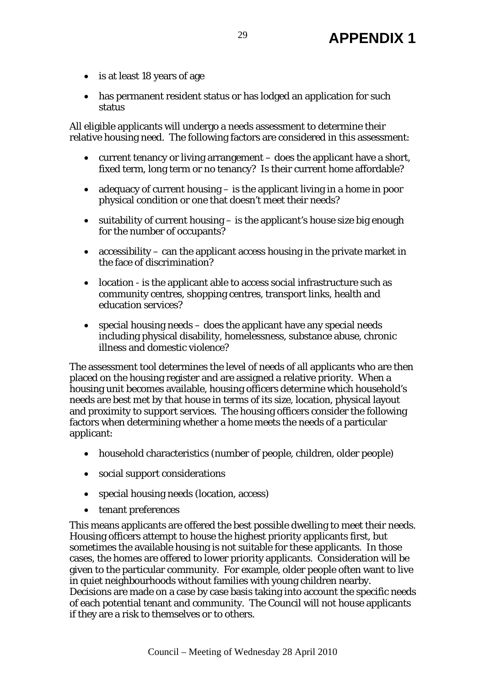- is at least 18 years of age
- has permanent resident status or has lodged an application for such status

All eligible applicants will undergo a needs assessment to determine their relative housing need. The following factors are considered in this assessment:

- current tenancy or living arrangement does the applicant have a short, fixed term, long term or no tenancy? Is their current home affordable?
- adequacy of current housing is the applicant living in a home in poor physical condition or one that doesn't meet their needs?
- suitability of current housing is the applicant's house size big enough for the number of occupants?
- accessibility can the applicant access housing in the private market in the face of discrimination?
- location is the applicant able to access social infrastructure such as community centres, shopping centres, transport links, health and education services?
- special housing needs does the applicant have any special needs including physical disability, homelessness, substance abuse, chronic illness and domestic violence?

The assessment tool determines the level of needs of all applicants who are then placed on the housing register and are assigned a relative priority. When a housing unit becomes available, housing officers determine which household's needs are best met by that house in terms of its size, location, physical layout and proximity to support services. The housing officers consider the following factors when determining whether a home meets the needs of a particular applicant:

- household characteristics (number of people, children, older people)
- social support considerations
- special housing needs (location, access)
- tenant preferences

This means applicants are offered the best possible dwelling to meet their needs. Housing officers attempt to house the highest priority applicants first, but sometimes the available housing is not suitable for these applicants. In those cases, the homes are offered to lower priority applicants. Consideration will be given to the particular community. For example, older people often want to live in quiet neighbourhoods without families with young children nearby. Decisions are made on a case by case basis taking into account the specific needs of each potential tenant and community. The Council will not house applicants if they are a risk to themselves or to others.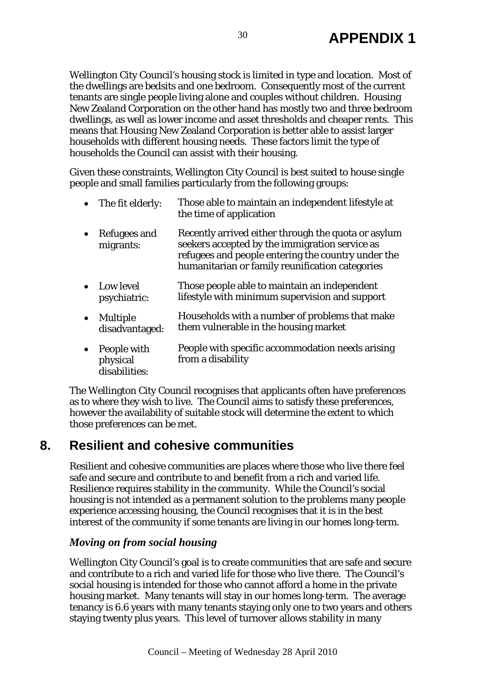Wellington City Council's housing stock is limited in type and location. Most of the dwellings are bedsits and one bedroom. Consequently most of the current tenants are single people living alone and couples without children. Housing New Zealand Corporation on the other hand has mostly two and three bedroom dwellings, as well as lower income and asset thresholds and cheaper rents. This means that Housing New Zealand Corporation is better able to assist larger households with different housing needs. These factors limit the type of households the Council can assist with their housing.

Given these constraints, Wellington City Council is best suited to house single people and small families particularly from the following groups:

| The fit elderly: | Those able to maintain an independent lifestyle at |
|------------------|----------------------------------------------------|
|                  | the time of application                            |

- Refugees and migrants: Recently arrived either through the quota or asylum seekers accepted by the immigration service as refugees and people entering the country under the humanitarian or family reunification categories
- Low level psychiatric: Those people able to maintain an independent lifestyle with minimum supervision and support
- Multiple disadvantaged: Households with a number of problems that make them vulnerable in the housing market
- People with physical disabilities: People with specific accommodation needs arising from a disability

The Wellington City Council recognises that applicants often have preferences as to where they wish to live. The Council aims to satisfy these preferences, however the availability of suitable stock will determine the extent to which those preferences can be met.

# **8. Resilient and cohesive communities**

Resilient and cohesive communities are places where those who live there feel safe and secure and contribute to and benefit from a rich and varied life. Resilience requires stability in the community. While the Council's social housing is not intended as a permanent solution to the problems many people experience accessing housing, the Council recognises that it is in the best interest of the community if some tenants are living in our homes long-term.

## *Moving on from social housing*

Wellington City Council's goal is to create communities that are safe and secure and contribute to a rich and varied life for those who live there. The Council's social housing is intended for those who cannot afford a home in the private housing market. Many tenants will stay in our homes long-term. The average tenancy is 6.6 years with many tenants staying only one to two years and others staying twenty plus years. This level of turnover allows stability in many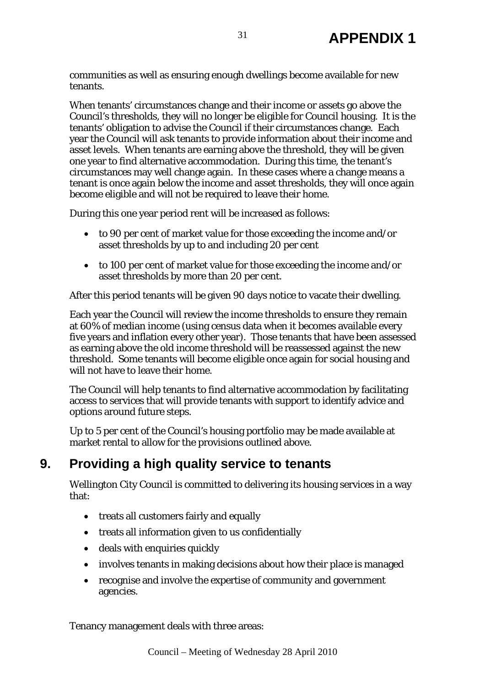communities as well as ensuring enough dwellings become available for new tenants.

When tenants' circumstances change and their income or assets go above the Council's thresholds, they will no longer be eligible for Council housing. It is the tenants' obligation to advise the Council if their circumstances change. Each year the Council will ask tenants to provide information about their income and asset levels. When tenants are earning above the threshold, they will be given one year to find alternative accommodation. During this time, the tenant's circumstances may well change again. In these cases where a change means a tenant is once again below the income and asset thresholds, they will once again become eligible and will not be required to leave their home.

During this one year period rent will be increased as follows:

- to 90 per cent of market value for those exceeding the income and/or asset thresholds by up to and including 20 per cent
- to 100 per cent of market value for those exceeding the income and/or asset thresholds by more than 20 per cent.

After this period tenants will be given 90 days notice to vacate their dwelling.

Each year the Council will review the income thresholds to ensure they remain at 60% of median income (using census data when it becomes available every five years and inflation every other year). Those tenants that have been assessed as earning above the old income threshold will be reassessed against the new threshold. Some tenants will become eligible once again for social housing and will not have to leave their home.

The Council will help tenants to find alternative accommodation by facilitating access to services that will provide tenants with support to identify advice and options around future steps.

Up to 5 per cent of the Council's housing portfolio may be made available at market rental to allow for the provisions outlined above.

# **9. Providing a high quality service to tenants**

Wellington City Council is committed to delivering its housing services in a way that:

- treats all customers fairly and equally
- treats all information given to us confidentially
- deals with enquiries quickly
- involves tenants in making decisions about how their place is managed
- recognise and involve the expertise of community and government agencies.

Tenancy management deals with three areas: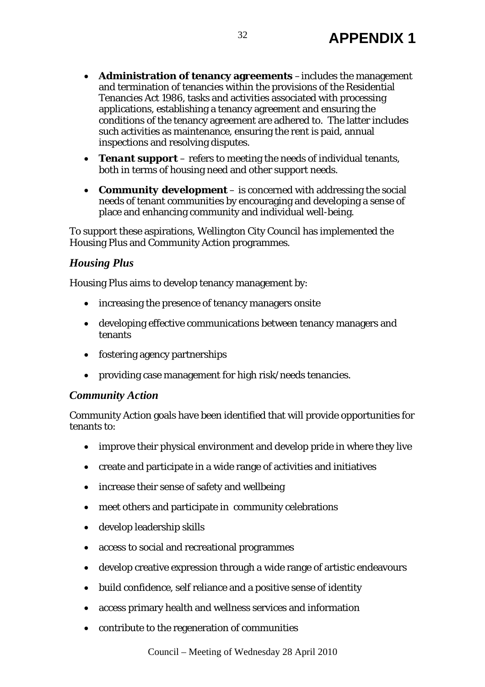- **Administration of tenancy agreements** –includes the management and termination of tenancies within the provisions of the Residential Tenancies Act 1986, tasks and activities associated with processing applications, establishing a tenancy agreement and ensuring the conditions of the tenancy agreement are adhered to. The latter includes such activities as maintenance, ensuring the rent is paid, annual inspections and resolving disputes.
- *Tenant support* refers to meeting the needs of individual tenants, both in terms of housing need and other support needs.
- *Community development* is concerned with addressing the social needs of tenant communities by encouraging and developing a sense of place and enhancing community and individual well-being.

To support these aspirations, Wellington City Council has implemented the Housing Plus and Community Action programmes.

## *Housing Plus*

Housing Plus aims to develop tenancy management by:

- increasing the presence of tenancy managers onsite
- developing effective communications between tenancy managers and tenants
- fostering agency partnerships
- providing case management for high risk/needs tenancies.

## *Community Action*

Community Action goals have been identified that will provide opportunities for tenants to:

- improve their physical environment and develop pride in where they live
- create and participate in a wide range of activities and initiatives
- increase their sense of safety and wellbeing
- meet others and participate in community celebrations
- develop leadership skills
- access to social and recreational programmes
- develop creative expression through a wide range of artistic endeavours
- build confidence, self reliance and a positive sense of identity
- access primary health and wellness services and information
- contribute to the regeneration of communities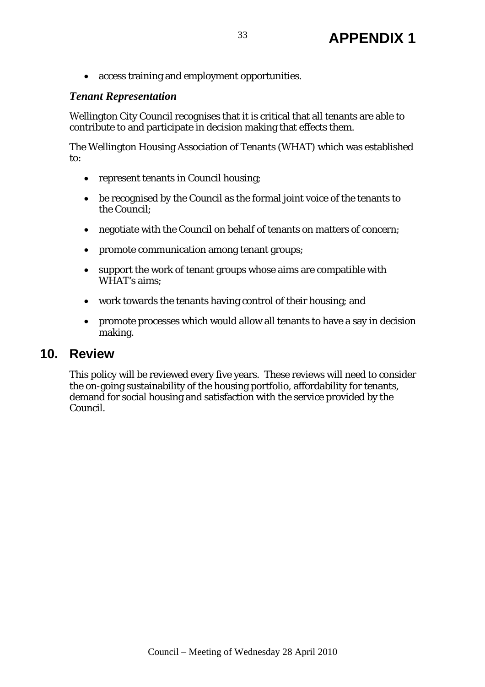• access training and employment opportunities.

## *Tenant Representation*

Wellington City Council recognises that it is critical that all tenants are able to contribute to and participate in decision making that effects them.

The Wellington Housing Association of Tenants (WHAT) which was established to:

- represent tenants in Council housing;
- be recognised by the Council as the formal joint voice of the tenants to the Council;
- negotiate with the Council on behalf of tenants on matters of concern;
- promote communication among tenant groups;
- support the work of tenant groups whose aims are compatible with WHAT's aims;
- work towards the tenants having control of their housing; and
- promote processes which would allow all tenants to have a say in decision making.

## **10. Review**

This policy will be reviewed every five years. These reviews will need to consider the on-going sustainability of the housing portfolio, affordability for tenants, demand for social housing and satisfaction with the service provided by the Council.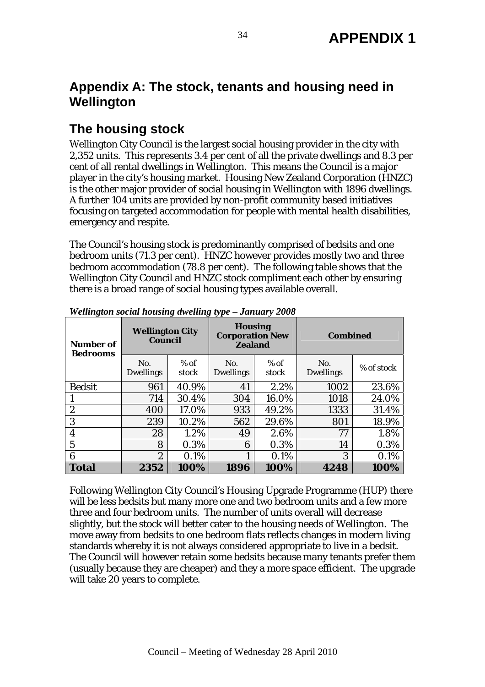# **Appendix A: The stock, tenants and housing need in Wellington**

# **The housing stock**

Wellington City Council is the largest social housing provider in the city with 2,352 units. This represents 3.4 per cent of all the private dwellings and 8.3 per cent of all rental dwellings in Wellington. This means the Council is a major player in the city's housing market. Housing New Zealand Corporation (HNZC) is the other major provider of social housing in Wellington with 1896 dwellings. A further 104 units are provided by non-profit community based initiatives focusing on targeted accommodation for people with mental health disabilities, emergency and respite.

The Council's housing stock is predominantly comprised of bedsits and one bedroom units (71.3 per cent). HNZC however provides mostly two and three bedroom accommodation (78.8 per cent). The following table shows that the Wellington City Council and HNZC stock compliment each other by ensuring there is a broad range of social housing types available overall.

| Number of<br><b>Bedrooms</b> | <b>Wellington City</b><br><b>Council</b> |                 | <b>Housing</b><br><b>Corporation New</b><br><b>Zealand</b> |                 | <b>Combined</b>         |            |
|------------------------------|------------------------------------------|-----------------|------------------------------------------------------------|-----------------|-------------------------|------------|
|                              | No.<br><b>Dwellings</b>                  | $%$ of<br>stock | No.<br><b>Dwellings</b>                                    | $%$ of<br>stock | No.<br><b>Dwellings</b> | % of stock |
| <b>Bedsit</b>                | 961                                      | 40.9%           | 41                                                         | 2.2%            | 1002                    | 23.6%      |
|                              | 714                                      | 30.4%           | 304                                                        | 16.0%           | 1018                    | 24.0%      |
| $\boldsymbol{2}$             | 400                                      | 17.0%           | 933                                                        | 49.2%           | 1333                    | 31.4%      |
| 3                            | 239                                      | 10.2%           | 562                                                        | 29.6%           | 801                     | 18.9%      |
| 4                            | 28                                       | 1.2%            | 49                                                         | 2.6%            | 77                      | 1.8%       |
| 5                            | 8                                        | 0.3%            | 6                                                          | 0.3%            | 14                      | 0.3%       |
| 6                            | $\overline{2}$                           | 0.1%            | 1                                                          | 0.1%            | 3                       | 0.1%       |
| <b>Total</b>                 | 2352                                     | 100%            | 1896                                                       | 100%            | 4248                    | 100%       |

*Wellington social housing dwelling type – January 2008* 

Following Wellington City Council's Housing Upgrade Programme (HUP) there will be less bedsits but many more one and two bedroom units and a few more three and four bedroom units. The number of units overall will decrease slightly, but the stock will better cater to the housing needs of Wellington. The move away from bedsits to one bedroom flats reflects changes in modern living standards whereby it is not always considered appropriate to live in a bedsit. The Council will however retain some bedsits because many tenants prefer them (usually because they are cheaper) and they a more space efficient. The upgrade will take 20 years to complete.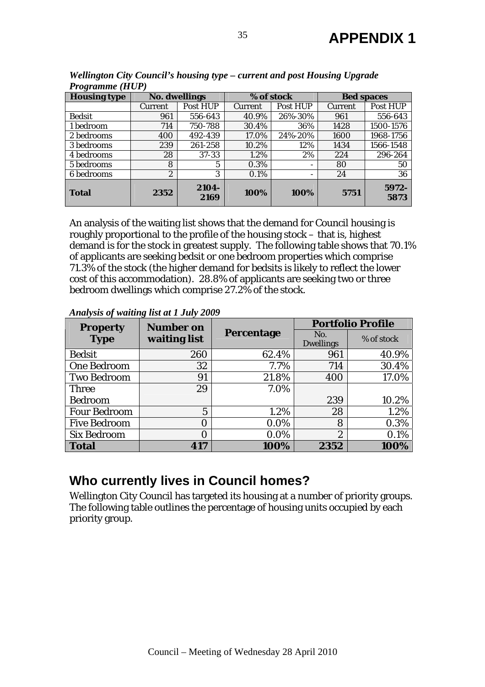| $110$ grunnic (1101) |                      |               |            |          |                   |               |  |
|----------------------|----------------------|---------------|------------|----------|-------------------|---------------|--|
| <b>Housing type</b>  | <b>No. dwellings</b> |               | % of stock |          | <b>Bed spaces</b> |               |  |
|                      | Current              | Post HUP      | Current    | Post HUP | Current           | Post HUP      |  |
| <b>Bedsit</b>        | 961                  | 556-643       | 40.9%      | 26%-30%  | 961               | 556-643       |  |
| 1 bedroom            | 714                  | 750-788       | 30.4%      | 36%      | 1428              | 1500-1576     |  |
| 2 bedrooms           | 400                  | 492-439       | 17.0%      | 24%-20%  | 1600              | 1968-1756     |  |
| 3 bedrooms           | 239                  | 261-258       | 10.2%      | 12%      | 1434              | 1566-1548     |  |
| 4 bedrooms           | 28                   | 37-33         | 1.2%       | 2%       | 224               | 296-264       |  |
| 5 bedrooms           | 8                    | $\mathbf{5}$  | 0.3%       |          | 80                | 50            |  |
| 6 bedrooms           | $\boldsymbol{2}$     | 3             | 0.1%       |          | 24                | 36            |  |
| <b>Total</b>         | 2352                 | 2104-<br>2169 | 100%       | 100%     | 5751              | 5972-<br>5873 |  |

*Wellington City Council's housing type – current and post Housing Upgrade Programme (HUP)* 

An analysis of the waiting list shows that the demand for Council housing is roughly proportional to the profile of the housing stock – that is, highest demand is for the stock in greatest supply. The following table shows that 70.1% of applicants are seeking bedsit or one bedroom properties which comprise 71.3% of the stock (the higher demand for bedsits is likely to reflect the lower cost of this accommodation). 28.8% of applicants are seeking two or three bedroom dwellings which comprise 27.2% of the stock.

*Analysis of waiting list at 1 July 2009* 

| <b>Property</b>     | <b>Number on</b><br>waiting list |                   | <b>Portfolio Profile</b> |            |
|---------------------|----------------------------------|-------------------|--------------------------|------------|
| <b>Type</b>         |                                  | <b>Percentage</b> | No.<br><b>Dwellings</b>  | % of stock |
| <b>Bedsit</b>       | 260                              | 62.4%             | 961                      | 40.9%      |
| <b>One Bedroom</b>  | 32                               | 7.7%              | 714                      | 30.4%      |
| <b>Two Bedroom</b>  | 91                               | 21.8%             | 400                      | 17.0%      |
| <b>Three</b>        | 29                               | 7.0%              |                          |            |
| <b>Bedroom</b>      |                                  |                   | 239                      | 10.2%      |
| <b>Four Bedroom</b> | $\overline{5}$                   | 1.2%              | 28                       | 1.2%       |
| <b>Five Bedroom</b> | 0                                | $0.0\%$           | 8                        | 0.3%       |
| <b>Six Bedroom</b>  | 0                                | 0.0%              | $\boldsymbol{2}$         | 0.1%       |
| <b>Total</b>        | 417                              | 100%              | 2352                     | 100%       |

# **Who currently lives in Council homes?**

Wellington City Council has targeted its housing at a number of priority groups. The following table outlines the percentage of housing units occupied by each priority group.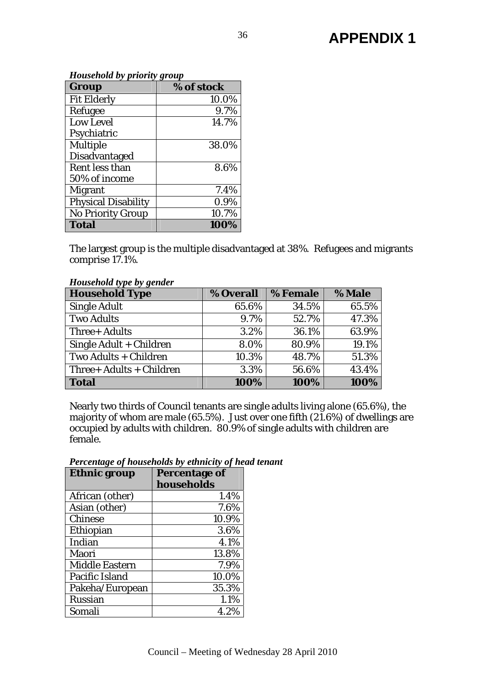*Household by priority group* 

| Group                      | $\mathbf{C}$<br>% of stock |
|----------------------------|----------------------------|
| <b>Fit Elderly</b>         | 10.0%                      |
| Refugee                    | 9.7%                       |
| <b>Low Level</b>           | 14.7%                      |
| Psychiatric                |                            |
| <b>Multiple</b>            | 38.0%                      |
| <b>Disadvantaged</b>       |                            |
| Rent less than             | 8.6%                       |
| 50% of income              |                            |
| <b>Migrant</b>             | 7.4%                       |
| <b>Physical Disability</b> | 0.9%                       |
| <b>No Priority Group</b>   | 10.7%                      |
| <b>Total</b>               | 100%                       |

The largest group is the multiple disadvantaged at 38%. Refugees and migrants comprise 17.1%.

*Household type by gender* 

| .<br><b>Household Type</b> | % Overall | % Female | % Male |
|----------------------------|-----------|----------|--------|
| <b>Single Adult</b>        | 65.6%     | 34.5%    | 65.5%  |
| <b>Two Adults</b>          | 9.7%      | 52.7%    | 47.3%  |
| Three+ Adults              | 3.2%      | 36.1%    | 63.9%  |
| Single Adult + Children    | 8.0%      | 80.9%    | 19.1%  |
| Two Adults + Children      | 10.3%     | 48.7%    | 51.3%  |
| Three+ Adults + Children   | 3.3%      | 56.6%    | 43.4%  |
| <b>Total</b>               | 100%      | 100%     | 100%   |

Nearly two thirds of Council tenants are single adults living alone (65.6%), the majority of whom are male (65.5%). Just over one fifth  $(21.6%)$  of dwellings are occupied by adults with children. 80.9% of single adults with children are female.

| <b>Ethnic group</b>   | <b>Percentage of</b> |
|-----------------------|----------------------|
|                       | households           |
| African (other)       | 1.4%                 |
| Asian (other)         | 7.6%                 |
| <b>Chinese</b>        | 10.9%                |
| Ethiopian             | 3.6%                 |
| Indian                | 4.1%                 |
| Maori                 | 13.8%                |
| <b>Middle Eastern</b> | 7.9%                 |
| Pacific Island        | 10.0%                |
| Pakeha/European       | 35.3%                |
| <b>Russian</b>        | 1.1%                 |
| Somali                | 4.2%                 |

*Percentage of households by ethnicity of head tenant*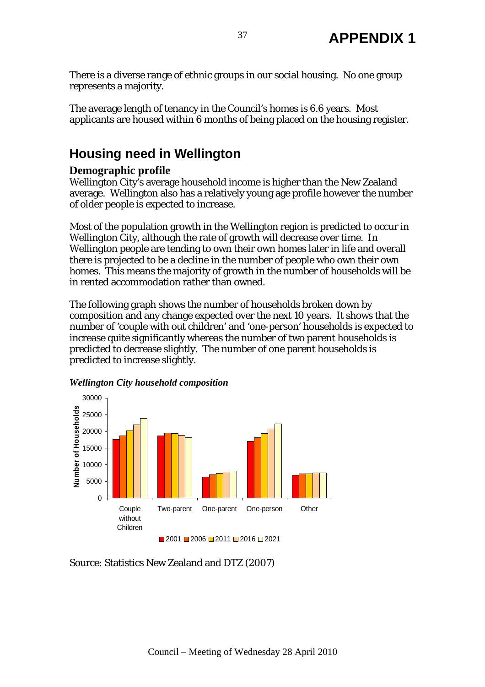There is a diverse range of ethnic groups in our social housing. No one group represents a majority.

The average length of tenancy in the Council's homes is 6.6 years. Most applicants are housed within 6 months of being placed on the housing register.

# **Housing need in Wellington**

## **Demographic profile**

Wellington City's average household income is higher than the New Zealand average. Wellington also has a relatively young age profile however the number of older people is expected to increase.

Most of the population growth in the Wellington region is predicted to occur in Wellington City, although the rate of growth will decrease over time. In Wellington people are tending to own their own homes later in life and overall there is projected to be a decline in the number of people who own their own homes. This means the majority of growth in the number of households will be in rented accommodation rather than owned.

The following graph shows the number of households broken down by composition and any change expected over the next 10 years. It shows that the number of 'couple with out children' and 'one-person' households is expected to increase quite significantly whereas the number of two parent households is predicted to decrease slightly. The number of one parent households is predicted to increase slightly.



 $2001 \square 2006 \square 2011 \square 2016 \square 2021$ 



Source: Statistics New Zealand and DTZ (2007)